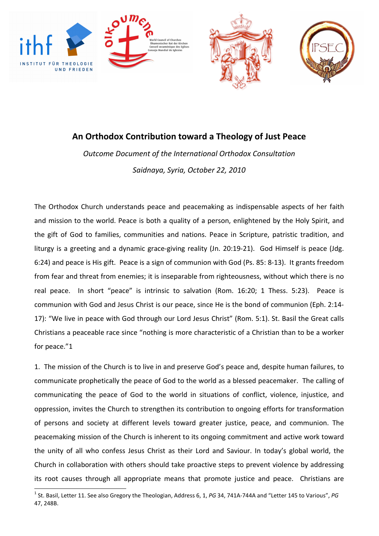





## An Orthodox Contribution toward a Theology of Just Peace

Outcome Document of the International Orthodox Consultation Saidnaya, Syria, October 22, 2010

The Orthodox Church understands peace and peacemaking as indispensable aspects of her faith and mission to the world. Peace is both a quality of a person, enlightened by the Holy Spirit, and the gift of God to families, communities and nations. Peace in Scripture, patristic tradition, and liturgy is a greeting and a dynamic grace-giving reality (Jn. 20:19-21). God Himself is peace (Jdg. 6:24) and peace is His gift. Peace is a sign of communion with God (Ps. 85: 8-13). It grants freedom from fear and threat from enemies; it is inseparable from righteousness, without which there is no real peace. In short "peace" is intrinsic to salvation (Rom. 16:20; 1 Thess. 5:23). Peace is communion with God and Jesus Christ is our peace, since He is the bond of communion (Eph. 2:14- 17): "We live in peace with God through our Lord Jesus Christ" (Rom. 5:1). St. Basil the Great calls Christians a peaceable race since "nothing is more characteristic of a Christian than to be a worker for peace."1

1. The mission of the Church is to live in and preserve God's peace and, despite human failures, to communicate prophetically the peace of God to the world as a blessed peacemaker. The calling of communicating the peace of God to the world in situations of conflict, violence, injustice, and oppression, invites the Church to strengthen its contribution to ongoing efforts for transformation of persons and society at different levels toward greater justice, peace, and communion. The peacemaking mission of the Church is inherent to its ongoing commitment and active work toward the unity of all who confess Jesus Christ as their Lord and Saviour. In today's global world, the Church in collaboration with others should take proactive steps to prevent violence by addressing its root causes through all appropriate means that promote justice and peace. Christians are 

<sup>&</sup>lt;sup>1</sup> St. Basil, Letter 11. See also Gregory the Theologian, Address 6, 1, PG 34, 741A-744A and "Letter 145 to Various", PG 47, 248B.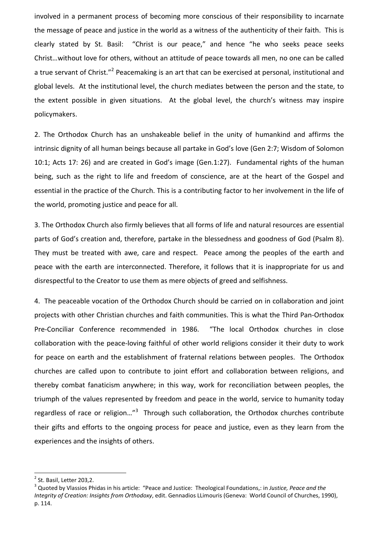involved in a permanent process of becoming more conscious of their responsibility to incarnate the message of peace and justice in the world as a witness of the authenticity of their faith. This is clearly stated by St. Basil: "Christ is our peace," and hence "he who seeks peace seeks Christ…without love for others, without an attitude of peace towards all men, no one can be called a true servant of Christ."<sup>2</sup> Peacemaking is an art that can be exercised at personal, institutional and global levels. At the institutional level, the church mediates between the person and the state, to the extent possible in given situations. At the global level, the church's witness may inspire policymakers.

2. The Orthodox Church has an unshakeable belief in the unity of humankind and affirms the intrinsic dignity of all human beings because all partake in God's love (Gen 2:7; Wisdom of Solomon 10:1; Acts 17: 26) and are created in God's image (Gen.1:27). Fundamental rights of the human being, such as the right to life and freedom of conscience, are at the heart of the Gospel and essential in the practice of the Church. This is a contributing factor to her involvement in the life of the world, promoting justice and peace for all.

3. The Orthodox Church also firmly believes that all forms of life and natural resources are essential parts of God's creation and, therefore, partake in the blessedness and goodness of God (Psalm 8). They must be treated with awe, care and respect. Peace among the peoples of the earth and peace with the earth are interconnected. Therefore, it follows that it is inappropriate for us and disrespectful to the Creator to use them as mere objects of greed and selfishness.

4. The peaceable vocation of the Orthodox Church should be carried on in collaboration and joint projects with other Christian churches and faith communities. This is what the Third Pan-Orthodox Pre-Conciliar Conference recommended in 1986. "The local Orthodox churches in close collaboration with the peace-loving faithful of other world religions consider it their duty to work for peace on earth and the establishment of fraternal relations between peoples. The Orthodox churches are called upon to contribute to joint effort and collaboration between religions, and thereby combat fanaticism anywhere; in this way, work for reconciliation between peoples, the triumph of the values represented by freedom and peace in the world, service to humanity today regardless of race or religion..."<sup>3</sup> Through such collaboration, the Orthodox churches contribute their gifts and efforts to the ongoing process for peace and justice, even as they learn from the experiences and the insights of others.

 $2$  St. Basil, Letter 203,2.

<sup>&</sup>lt;sup>3</sup> Quoted by Vlassios Phidas in his article: "Peace and Justice: Theological Foundations,: in Justice, Peace and the Integrity of Creation: Insights from Orthodoxy, edit. Gennadios LLimouris (Geneva: World Council of Churches, 1990), p. 114.